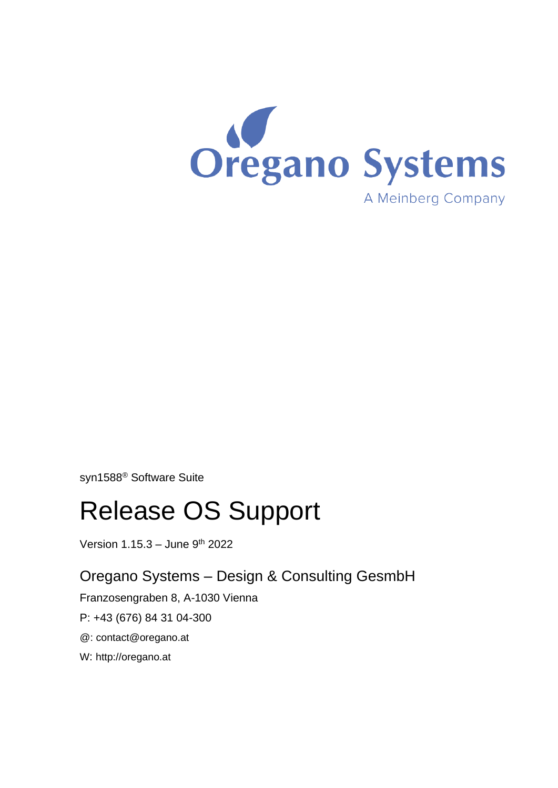

syn1588® Software Suite

# Release OS Support

Version 1.15.3 - June 9<sup>th</sup> 2022

Oregano Systems – Design & Consulting GesmbH

Franzosengraben 8, A-1030 Vienna

P: +43 (676) 84 31 04-300

@: [contact@oregano.at](mailto:contact@oregano.at)

W: [http://oregano.at](http://www.oregano.at/)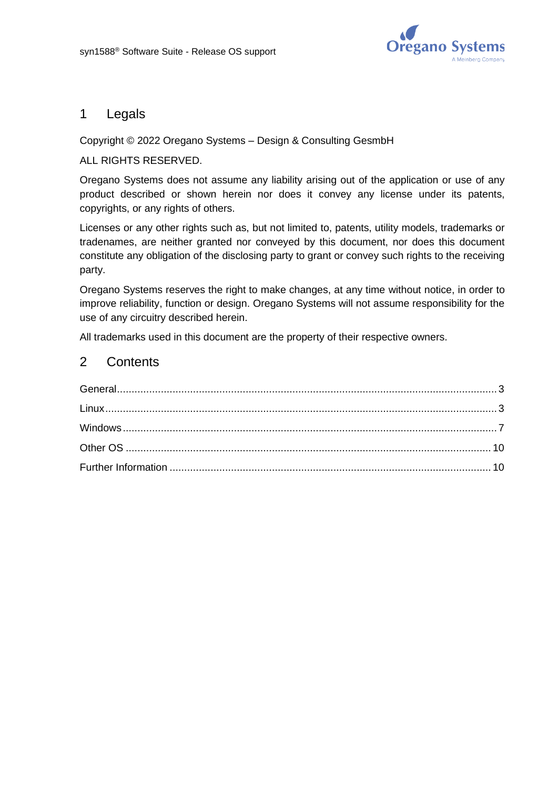

### 1 Legals

#### Copyright © 2022 Oregano Systems – Design & Consulting GesmbH

#### ALL RIGHTS RESERVED.

Oregano Systems does not assume any liability arising out of the application or use of any product described or shown herein nor does it convey any license under its patents, copyrights, or any rights of others.

Licenses or any other rights such as, but not limited to, patents, utility models, trademarks or tradenames, are neither granted nor conveyed by this document, nor does this document constitute any obligation of the disclosing party to grant or convey such rights to the receiving party.

Oregano Systems reserves the right to make changes, at any time without notice, in order to improve reliability, function or design. Oregano Systems will not assume responsibility for the use of any circuitry described herein.

All trademarks used in this document are the property of their respective owners.

### 2 Contents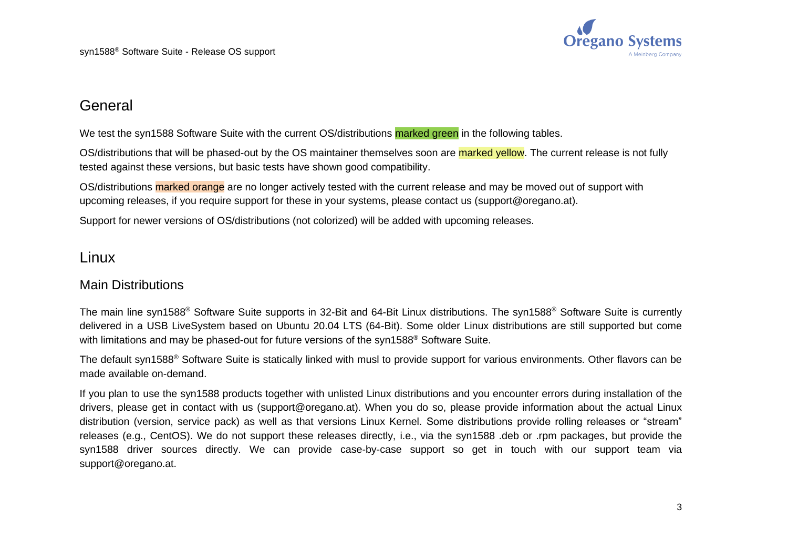

# **General**

We test the syn1588 Software Suite with the current OS/distributions marked green in the following tables.

OS/distributions that will be phased-out by the OS maintainer themselves soon are marked yellow. The current release is not fully tested against these versions, but basic tests have shown good compatibility.

OS/distributions marked orange are no longer actively tested with the current release and may be moved out of support with upcoming releases, if you require support for these in your systems, please contact us [\(support@oregano.at\)](mailto:support@oregano.at).

Support for newer versions of OS/distributions (not colorized) will be added with upcoming releases.

# Linux

# Main Distributions

<span id="page-2-0"></span>The main line syn1588® Software Suite supports in 32-Bit and 64-Bit Linux distributions. The syn1588® Software Suite is currently delivered in a USB LiveSystem based on Ubuntu 20.04 LTS (64-Bit). Some older Linux distributions are still supported but come with limitations and may be phased-out for future versions of the syn1588<sup>®</sup> Software Suite.

The default syn1588® Software Suite is statically linked with [musl](https://musl.libc.org/) to provide support for various environments. Other flavors can be made available on-demand.

<span id="page-2-1"></span>If you plan to use the syn1588 products together with unlisted Linux distributions and you encounter errors during installation of the drivers, please get in contact with us [\(support@oregano.at\)](mailto:support@oregano.at). When you do so, please provide information about the actual Linux distribution (version, service pack) as well as that versions Linux Kernel. Some distributions provide rolling releases or "stream" releases (e.g., CentOS). We do not support these releases directly, i.e., via the syn1588 .deb or .rpm packages, but provide the syn1588 driver sources directly. We can provide case-by-case support so get in touch with our support team via support@oregano.at.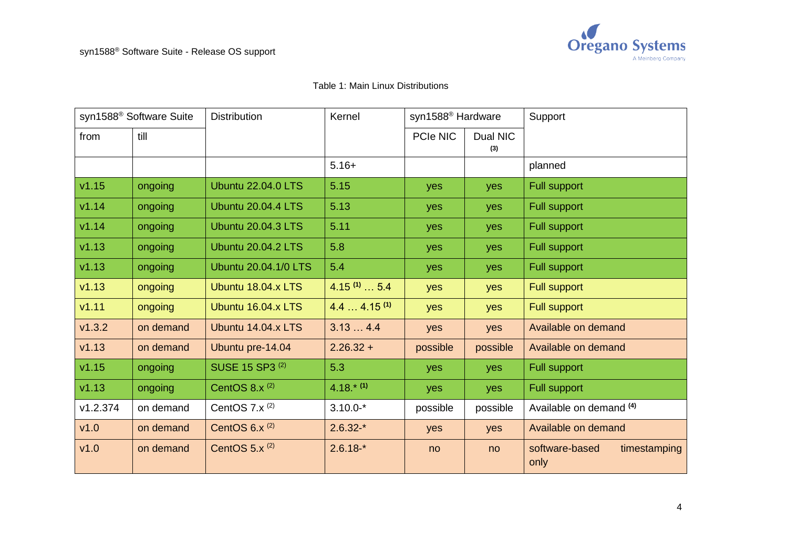

#### Table 1: Main Linux Distributions

| syn1588 <sup>®</sup> Software Suite |           | <b>Distribution</b>          | Kernel          | syn1588 <sup>®</sup> Hardware |                 | Support                                |
|-------------------------------------|-----------|------------------------------|-----------------|-------------------------------|-----------------|----------------------------------------|
| from                                | till      |                              |                 | PCIe NIC                      | Dual NIC<br>(3) |                                        |
|                                     |           |                              | $5.16+$         |                               |                 | planned                                |
| v1.15                               | ongoing   | <b>Ubuntu 22.04.0 LTS</b>    | 5.15            | yes                           | yes             | <b>Full support</b>                    |
| v1.14                               | ongoing   | <b>Ubuntu 20.04.4 LTS</b>    | 5.13            | yes                           | yes             | Full support                           |
| v1.14                               | ongoing   | <b>Ubuntu 20.04.3 LTS</b>    | 5.11            | yes                           | yes             | <b>Full support</b>                    |
| v1.13                               | ongoing   | <b>Ubuntu 20.04.2 LTS</b>    | 5.8             | yes                           | yes             | Full support                           |
| v1.13                               | ongoing   | <b>Ubuntu 20.04.1/0 LTS</b>  | 5.4             | yes                           | yes             | <b>Full support</b>                    |
| v1.13                               | ongoing   | Ubuntu 18.04.x LTS           | $4.15^{(1)}5.4$ | yes                           | yes             | <b>Full support</b>                    |
| v1.11                               | ongoing   | Ubuntu 16.04.x LTS           | $4.44.15^{(1)}$ | yes                           | yes             | <b>Full support</b>                    |
| v1.3.2                              | on demand | Ubuntu 14.04.x LTS           | 3.134.4         | yes                           | yes             | Available on demand                    |
| v1.13                               | on demand | Ubuntu pre-14.04             | $2.26.32 +$     | possible                      | possible        | Available on demand                    |
| v1.15                               | ongoing   | SUSE 15 SP3 <sup>(2)</sup>   | 5.3             | yes                           | yes             | <b>Full support</b>                    |
| v1.13                               | ongoing   | CentOS 8.x <sup>(2)</sup>    | $4.18^{*}$ (1)  | yes                           | yes             | <b>Full support</b>                    |
| v1.2.374                            | on demand | CentOS 7. $x$ <sup>(2)</sup> | $3.10.0 -$ *    | possible                      | possible        | Available on demand (4)                |
| v1.0                                | on demand | CentOS 6. $x$ <sup>(2)</sup> | $2.6.32-*$      | yes                           | yes             | Available on demand                    |
| v1.0                                | on demand | CentOS 5.x <sup>(2)</sup>    | $2.6.18-*$      | no                            | no              | software-based<br>timestamping<br>only |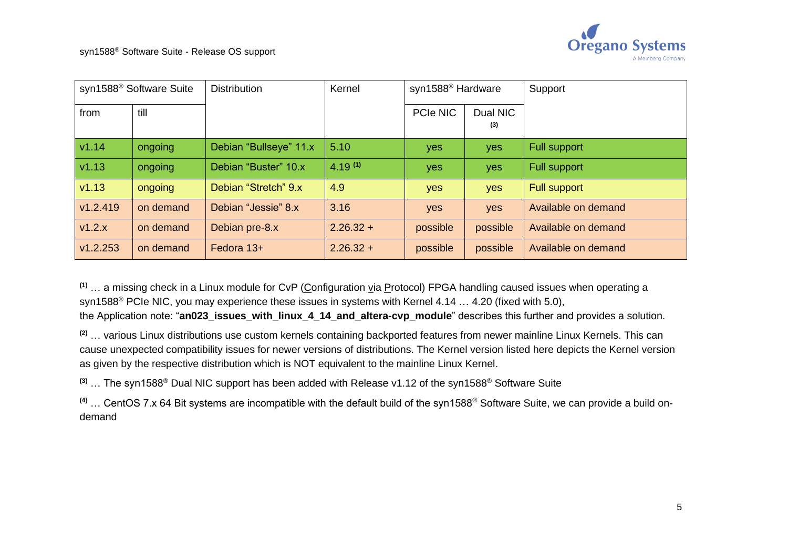

|          | syn1588 <sup>®</sup> Software Suite | <b>Distribution</b>    | Kernel       | syn1588 <sup>®</sup> Hardware |                 | Support             |
|----------|-------------------------------------|------------------------|--------------|-------------------------------|-----------------|---------------------|
| from     | till                                |                        |              | PCIe NIC                      | Dual NIC<br>(3) |                     |
| v1.14    | ongoing                             | Debian "Bullseye" 11.x | 5.10         | yes                           | yes             | <b>Full support</b> |
| v1.13    | ongoing                             | Debian "Buster" 10.x   | $4.19^{(1)}$ | yes                           | yes             | Full support        |
| v1.13    | ongoing                             | Debian "Stretch" 9.x   | 4.9          | yes                           | <b>yes</b>      | <b>Full support</b> |
| V1.2.419 | on demand                           | Debian "Jessie" 8.x    | 3.16         | <b>yes</b>                    | yes             | Available on demand |
| v1.2.x   | on demand                           | Debian pre-8.x         | $2.26.32 +$  | possible                      | possible        | Available on demand |
| v1.2.253 | on demand                           | Fedora 13+             | $2.26.32 +$  | possible                      | possible        | Available on demand |

**(1)** … a missing check in a Linux module for CvP (Configuration via Protocol) FPGA handling caused issues when operating a syn1588® PCIe NIC, you may experience these issues in systems with Kernel 4.14 … 4.20 (fixed with 5.0), the Application note: "an023 issues with linux 4 14 and altera-cvp module" describes this further and provides a solution.

**(2)** … various Linux distributions use custom kernels containing backported features from newer mainline Linux Kernels. This can cause unexpected compatibility issues for newer versions of distributions. The Kernel version listed here depicts the Kernel version as given by the respective distribution which is NOT equivalent to the mainline Linux Kernel.

**(3)** … The syn1588® Dual NIC support has been added with Release v1.12 of the syn1588® Software Suite

**(4)** … CentOS 7.x 64 Bit systems are incompatible with the default build of the syn1588® Software Suite, we can provide a build ondemand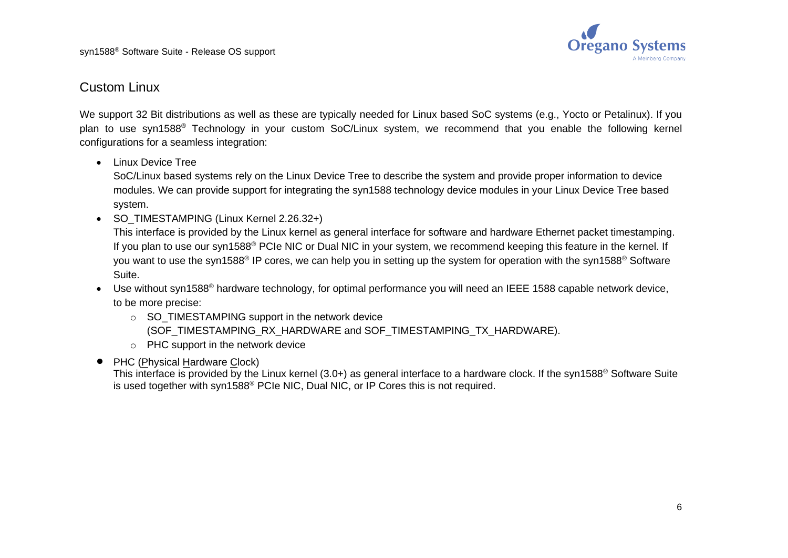

## Custom Linux

We support 32 Bit distributions as well as these are typically needed for Linux based SoC systems (e.g., Yocto or Petalinux). If you plan to use syn1588® Technology in your custom SoC/Linux system, we recommend that you enable the following kernel configurations for a seamless integration:

• Linux Device Tree

SoC/Linux based systems rely on the Linux Device Tree to describe the system and provide proper information to device modules. We can provide support for integrating the syn1588 technology device modules in your Linux Device Tree based system.

• SO TIMESTAMPING (Linux Kernel 2.26.32+)

This interface is provided by the Linux kernel as general interface for software and hardware Ethernet packet timestamping. If you plan to use our syn1588<sup>®</sup> PCIe NIC or Dual NIC in your system, we recommend keeping this feature in the kernel. If you want to use the syn1588® IP cores, we can help you in setting up the system for operation with the syn1588® Software Suite.

- Use without syn1588® hardware technology, for optimal performance you will need an IEEE 1588 capable network device, to be more precise:
	- $\circ$  SO TIMESTAMPING support in the network device (SOF\_TIMESTAMPING\_RX\_HARDWARE and SOF\_TIMESTAMPING\_TX\_HARDWARE).
	- o PHC support in the network device
- PHC (Physical Hardware Clock)

This interface is provided by the Linux kernel (3.0+) as general interface to a hardware clock. If the syn1588® Software Suite is used together with syn1588® PCIe NIC, Dual NIC, or IP Cores this is not required.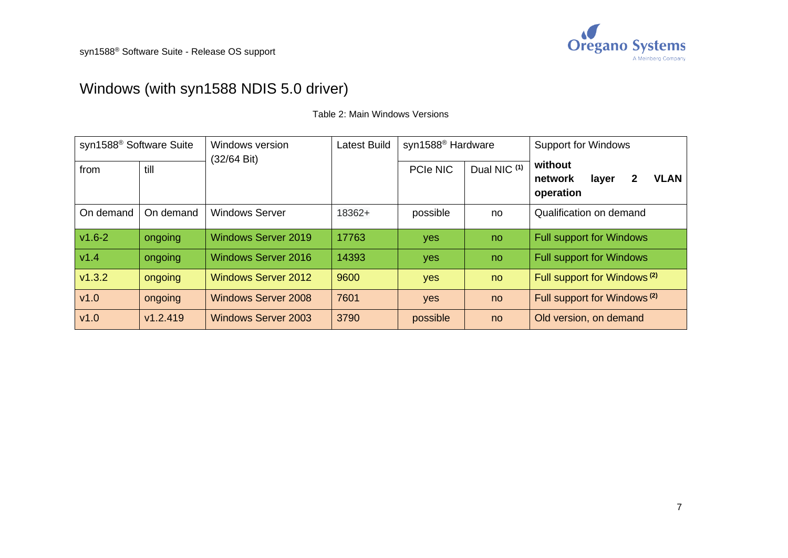

# Windows (with syn1588 NDIS 5.0 driver)

Table 2: Main Windows Versions

<span id="page-6-0"></span>

| syn1588 <sup>®</sup> Software Suite |           | Windows version            | Latest Build | syn1588 <sup>®</sup> Hardware |                         | <b>Support for Windows</b>                                   |  |
|-------------------------------------|-----------|----------------------------|--------------|-------------------------------|-------------------------|--------------------------------------------------------------|--|
| from                                | till      | (32/64 Bit)                |              | PCIe NIC                      | Dual NIC <sup>(1)</sup> | without<br><b>VLAN</b><br>layer<br>2<br>network<br>operation |  |
| On demand                           | On demand | <b>Windows Server</b>      | 18362+       | possible                      | no                      | Qualification on demand                                      |  |
| $v1.6 - 2$                          | ongoing   | <b>Windows Server 2019</b> | 17763        | <b>yes</b>                    | no                      | <b>Full support for Windows</b>                              |  |
| V1.4                                | ongoing   | <b>Windows Server 2016</b> | 14393        | yes                           | no                      | <b>Full support for Windows</b>                              |  |
| v1.3.2                              | ongoing   | <b>Windows Server 2012</b> | 9600         | yes                           | no.                     | Full support for Windows <sup>(2)</sup>                      |  |
| v1.0                                | ongoing   | <b>Windows Server 2008</b> | 7601         | yes                           | no                      | Full support for Windows <sup>(2)</sup>                      |  |
| v1.0                                | V1.2.419  | <b>Windows Server 2003</b> | 3790         | possible                      | <sub>no</sub>           | Old version, on demand                                       |  |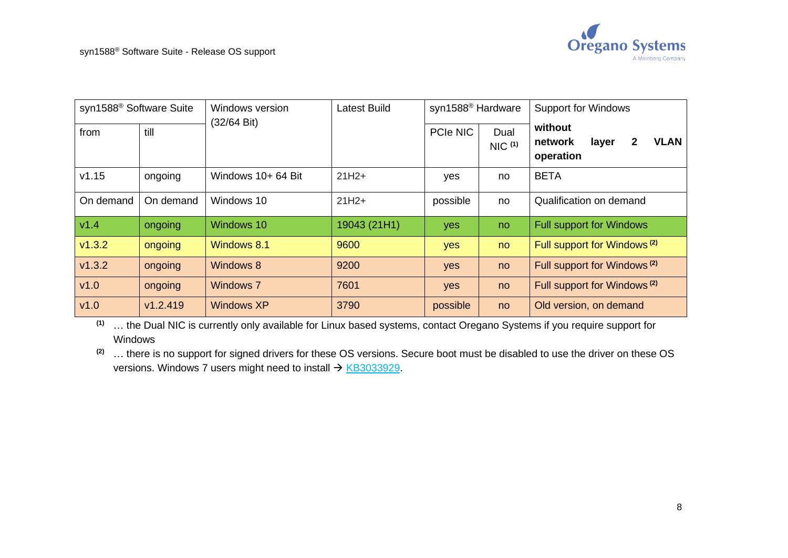

| syn1588 <sup>®</sup> Software Suite |           | Windows version       | Latest Build | syn1588 <sup>®</sup> Hardware |                     | <b>Support for Windows</b>                                              |  |
|-------------------------------------|-----------|-----------------------|--------------|-------------------------------|---------------------|-------------------------------------------------------------------------|--|
| from                                | till      | $(32/64 \text{ Bit})$ |              | PCIe NIC                      | Dual<br>$NIC$ $(1)$ | without<br><b>VLAN</b><br>layer<br>$\mathbf{2}$<br>network<br>operation |  |
| v1.15                               | ongoing   | Windows 10+ 64 Bit    | $21H2+$      | yes                           | no                  | <b>BETA</b>                                                             |  |
| On demand                           | On demand | Windows 10            | $21H2+$      | possible                      | no                  | Qualification on demand                                                 |  |
| V1.4                                | ongoing   | Windows 10            | 19043 (21H1) | yes                           | no                  | <b>Full support for Windows</b>                                         |  |
| v1.3.2                              | ongoing   | <b>Windows 8.1</b>    | 9600         | yes                           | no                  | Full support for Windows <sup>(2)</sup>                                 |  |
| v1.3.2                              | ongoing   | <b>Windows 8</b>      | 9200         | yes                           | no                  | Full support for Windows <sup>(2)</sup>                                 |  |
| v1.0                                | ongoing   | <b>Windows 7</b>      | 7601         | yes                           | no                  | Full support for Windows <sup>(2)</sup>                                 |  |
| V1.0                                | V1.2.419  | <b>Windows XP</b>     | 3790         | possible                      | no                  | Old version, on demand                                                  |  |

**(1)** … the Dual NIC is currently only available for Linux based systems, contact Oregano Systems if you require support for Windows

**(2)** … there is no support for signed drivers for these OS versions. Secure boot must be disabled to use the driver on these OS versions. Windows 7 users might need to install → [KB3033929.](https://www.microsoft.com/en-us/download/details.aspx?id=46148)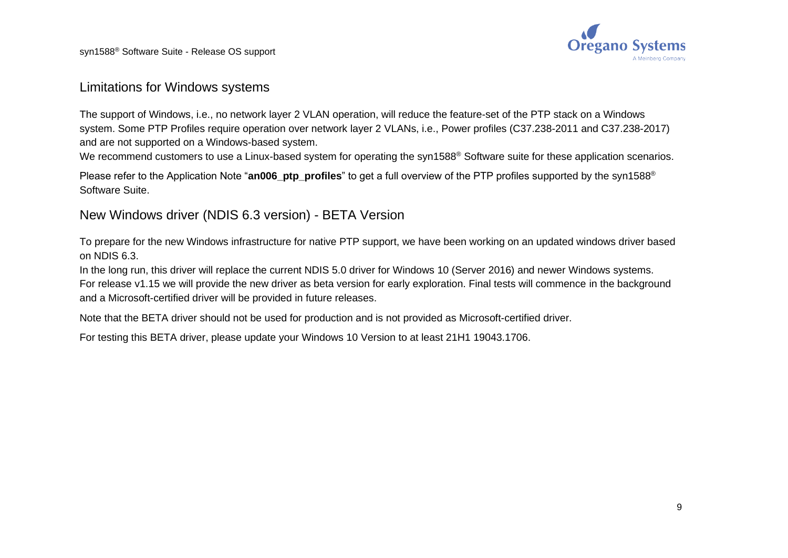syn1588® Software Suite - Release OS support



### Limitations for Windows systems

The support of Windows, i.e., no network layer 2 VLAN operation, will reduce the feature-set of the PTP stack on a Windows system. Some PTP Profiles require operation over network layer 2 VLANs, i.e., Power profiles (C37.238-2011 and C37.238-2017) and are not supported on a Windows-based system.

We recommend customers to use a Linux-based system for operating the syn1588<sup>®</sup> Software suite for these application scenarios.

Please refer to the Application Note "**an006\_ptp\_profiles**" to get a full overview of the PTP profiles supported by the syn1588® Software Suite.

# New Windows driver (NDIS 6.3 version) - BETA Version

To prepare for the new Windows infrastructure for native PTP support, we have been working on an updated windows driver based on NDIS 6.3.

In the long run, this driver will replace the current NDIS 5.0 driver for Windows 10 (Server 2016) and newer Windows systems. For release v1.15 we will provide the new driver as beta version for early exploration. Final tests will commence in the background and a Microsoft-certified driver will be provided in future releases.

Note that the BETA driver should not be used for production and is not provided as Microsoft-certified driver.

For testing this BETA driver, please update your Windows 10 Version to at least 21H1 19043.1706.